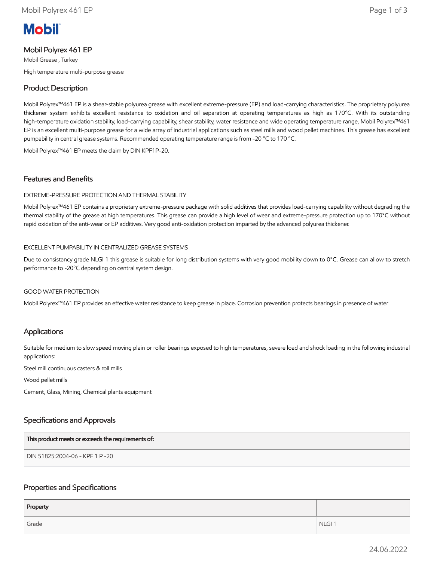# **Mobil**

# Mobil Polyrex 461 EP

Mobil Grease , Turkey High temperature multi-purpose grease

# Product Description

Mobil Polyrex™461 EP is a shear-stable polyurea grease with excellent extreme-pressure (EP) and load-carrying characteristics. The proprietary polyurea thickener system exhibits excellent resistance to oxidation and oil separation at operating temperatures as high as 170°C. With its outstanding high-temperature oxidation stability, load-carrying capability, shear stability, water resistance and wide operating temperature range, Mobil Polyrex™461 EP is an excellent multi-purpose grease for a wide array of industrial applications such as steel mills and wood pellet machines. This grease has excellent pumpability in central grease systems. Recommended operating temperature range is from -20 °C to 170 °C.

Mobil Polyrex™461 EP meets the claim by DIN KPF1P-20.

### Features and Benefits

#### EXTREME-PRESSURE PROTECTION AND THERMAL STABILITY

Mobil Polyrex™461 EP contains a proprietary extreme-pressure package with solid additives that provides load-carrying capability without degrading the thermal stability of the grease at high temperatures. This grease can provide a high level of wear and extreme-pressure protection up to 170°C without rapid oxidation of the anti-wear or EP additives. Very good anti-oxidation protection imparted by the advanced polyurea thickener.

#### EXCELLENT PUMPABILITY IN CENTRALIZED GREASE SYSTEMS

Due to consistancy grade NLGI 1 this grease is suitable for long distribution systems with very good mobility down to 0°C. Grease can allow to stretch performance to -20°C depending on central system design.

#### GOOD WATER PROTECTION

Mobil Polyrex™461 EP provides an effective water resistance to keep grease in place. Corrosion prevention protects bearings in presence of water

# Applications

Suitable for medium to slow speed moving plain or roller bearings exposed to high temperatures, severe load and shock loading in the following industrial applications:

Steel mill continuous casters & roll mills

Wood pellet mills

Cement, Glass, Mining, Chemical plants equipment

# Specifications and Approvals

| This product meets or exceeds the requirements of: |  |
|----------------------------------------------------|--|
| DIN 51825:2004-06 - KPF 1 P -20                    |  |

#### Properties and Specifications

| Property |                   |
|----------|-------------------|
| Grade    | NLGI <sub>1</sub> |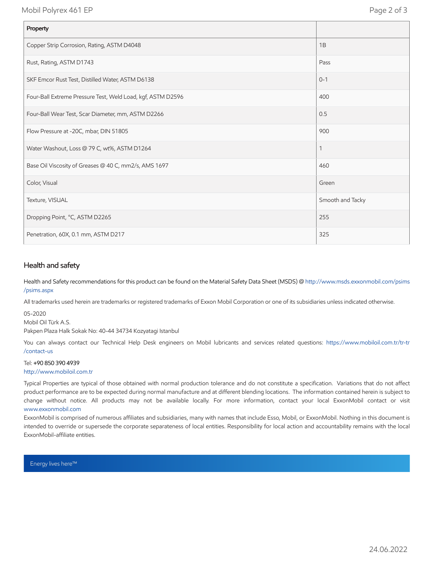Mobil Polyrex 461 EP Page 2 of 3

| Property                                                    |                  |
|-------------------------------------------------------------|------------------|
| Copper Strip Corrosion, Rating, ASTM D4048                  | 1B               |
| Rust, Rating, ASTM D1743                                    | Pass             |
| SKF Emcor Rust Test, Distilled Water, ASTM D6138            | $0 - 1$          |
| Four-Ball Extreme Pressure Test, Weld Load, kgf, ASTM D2596 | 400              |
| Four-Ball Wear Test, Scar Diameter, mm, ASTM D2266          | 0.5              |
| Flow Pressure at -20C, mbar, DIN 51805                      | 900              |
| Water Washout, Loss @ 79 C, wt%, ASTM D1264                 | 1                |
| Base Oil Viscosity of Greases @ 40 C, mm2/s, AMS 1697       | 460              |
| Color, Visual                                               | Green            |
| Texture, VISUAL                                             | Smooth and Tacky |
| Dropping Point, °C, ASTM D2265                              | 255              |
| Penetration, 60X, 0.1 mm, ASTM D217                         | 325              |

# Health and safety

Health and Safety recommendations for this product can be found on the Material Safety Data Sheet (MSDS) @ [http://www.msds.exxonmobil.com/psims](http://www.msds.exxonmobil.com/psims/psims.aspx) /psims.aspx

All trademarks used herein are trademarks or registered trademarks of Exxon Mobil Corporation or one of its subsidiaries unless indicated otherwise.

05-2020

Mobil Oil Türk A.S.

Pakpen Plaza Halk Sokak No: 40-44 34734 Kozyatagi Istanbul

You can always contact our Technical Help Desk engineers on Mobil lubricants and services related questions: https://www.mobiloil.com.tr/tr-tr /contact-us

#### Tel: +90 850 390 4939

[http://www.mobiloil.com.tr](http://www.mobiloil.com.tr/)

Typical Properties are typical of those obtained with normal production tolerance and do not constitute a specification. Variations that do not affect product performance are to be expected during normal manufacture and at different blending locations. The information contained herein is subject to change without notice. All products may not be available locally. For more information, contact your local ExxonMobil contact or visit [www.exxonmobil.com](http://www.exxonmobil.com/)

ExxonMobil is comprised of numerous affiliates and subsidiaries, many with names that include Esso, Mobil, or ExxonMobil. Nothing in this document is intended to override or supersede the corporate separateness of local entities. Responsibility for local action and accountability remains with the local ExxonMobil-affiliate entities.

Energy lives here™